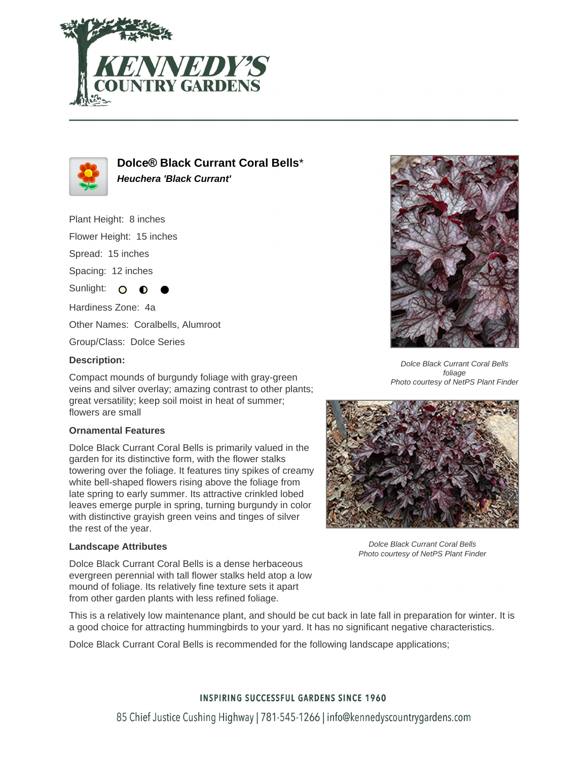



**Dolce® Black Currant Coral Bells**\* **Heuchera 'Black Currant'**

Plant Height: 8 inches

Flower Height: 15 inches

Spread: 15 inches

Spacing: 12 inches

Sunlight: O

Hardiness Zone: 4a

Other Names: Coralbells, Alumroot

Group/Class: Dolce Series

### **Description:**

Compact mounds of burgundy foliage with gray-green veins and silver overlay; amazing contrast to other plants; great versatility; keep soil moist in heat of summer; flowers are small

### **Ornamental Features**

Dolce Black Currant Coral Bells is primarily valued in the garden for its distinctive form, with the flower stalks towering over the foliage. It features tiny spikes of creamy white bell-shaped flowers rising above the foliage from late spring to early summer. Its attractive crinkled lobed leaves emerge purple in spring, turning burgundy in color with distinctive grayish green veins and tinges of silver the rest of the year.

### **Landscape Attributes**

Dolce Black Currant Coral Bells is a dense herbaceous evergreen perennial with tall flower stalks held atop a low mound of foliage. Its relatively fine texture sets it apart from other garden plants with less refined foliage.

Dolce Black Currant Coral Bells foliage Photo courtesy of NetPS Plant Finder



Dolce Black Currant Coral Bells Photo courtesy of NetPS Plant Finder

This is a relatively low maintenance plant, and should be cut back in late fall in preparation for winter. It is a good choice for attracting hummingbirds to your yard. It has no significant negative characteristics.

Dolce Black Currant Coral Bells is recommended for the following landscape applications;

# **INSPIRING SUCCESSFUL GARDENS SINCE 1960**

85 Chief Justice Cushing Highway | 781-545-1266 | info@kennedyscountrygardens.com